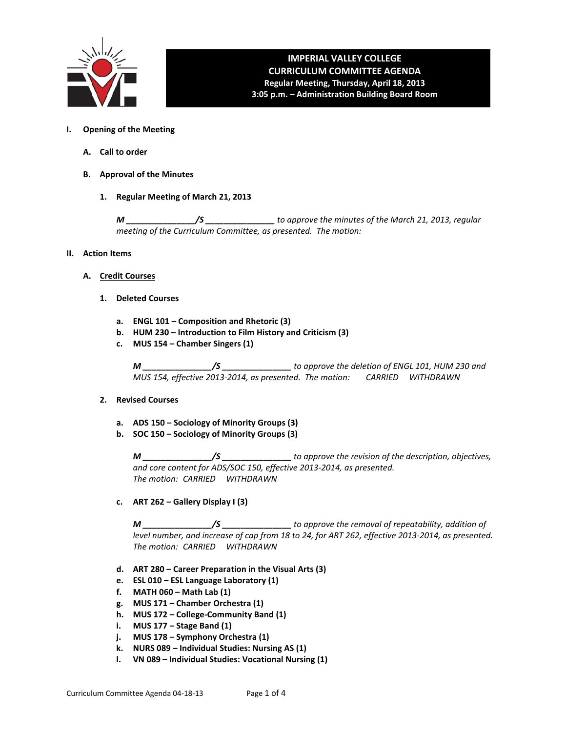

# **IMPERIAL VALLEY COLLEGE CURRICULUM COMMITTEE AGENDA Regular Meeting, Thursday, April 18, 2013**

**3:05 p.m. – Administration Building Board Room**

- **I. Opening of the Meeting**
	- **A. Call to order**
	- **B. Approval of the Minutes**
		- **1. Regular Meeting of March 21, 2013**

*M \_\_\_\_\_\_\_\_\_\_\_\_\_\_\_/S \_\_\_\_\_\_\_\_\_\_\_\_\_\_\_ to approve the minutes of the March 21, 2013, regular meeting of the Curriculum Committee, as presented. The motion:* 

- **II. Action Items**
	- **A. Credit Courses**
		- **1. Deleted Courses**
			- **a. ENGL 101 – Composition and Rhetoric (3)**
			- **b. HUM 230 – Introduction to Film History and Criticism (3)**
			- **c. MUS 154 – Chamber Singers (1)**

*M \_\_\_\_\_\_\_\_\_\_\_\_\_\_\_/S \_\_\_\_\_\_\_\_\_\_\_\_\_\_\_ to approve the deletion of ENGL 101, HUM 230 and MUS 154, effective 2013-2014, as presented. The motion: CARRIED WITHDRAWN*

- **2. Revised Courses**
	- **a. ADS 150 – Sociology of Minority Groups (3)**
	- **b. SOC 150 – Sociology of Minority Groups (3)**

*M \_\_\_\_\_\_\_\_\_\_\_\_\_\_\_/S \_\_\_\_\_\_\_\_\_\_\_\_\_\_\_ to approve the revision of the description, objectives, and core content for ADS/SOC 150, effective 2013-2014, as presented. The motion: CARRIED WITHDRAWN*

**c. ART 262 – Gallery Display I (3)**

*M \_\_\_\_\_\_\_\_\_\_\_\_\_\_\_/S \_\_\_\_\_\_\_\_\_\_\_\_\_\_\_ to approve the removal of repeatability, addition of level number, and increase of cap from 18 to 24, for ART 262, effective 2013-2014, as presented. The motion: CARRIED WITHDRAWN*

- **d. ART 280 – Career Preparation in the Visual Arts (3)**
- **e. ESL 010 – ESL Language Laboratory (1)**
- **f. MATH 060 – Math Lab (1)**
- **g. MUS 171 – Chamber Orchestra (1)**
- **h. MUS 172 – College-Community Band (1)**
- **i. MUS 177 – Stage Band (1)**
- **j. MUS 178 – Symphony Orchestra (1)**
- **k. NURS 089 – Individual Studies: Nursing AS (1)**
- **l. VN 089 – Individual Studies: Vocational Nursing (1)**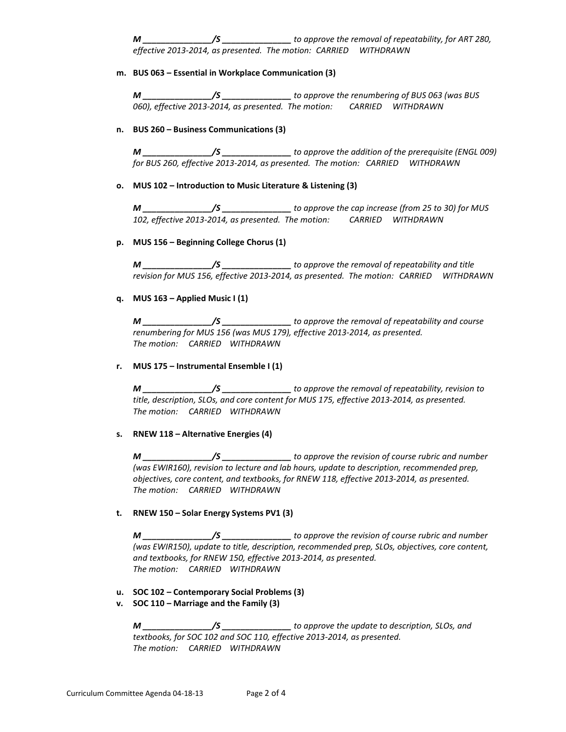*M \_\_\_\_\_\_\_\_\_\_\_\_\_\_\_/S \_\_\_\_\_\_\_\_\_\_\_\_\_\_\_ to approve the removal of repeatability, for ART 280, effective 2013-2014, as presented. The motion: CARRIED WITHDRAWN*

#### **m. BUS 063 – Essential in Workplace Communication (3)**

*M \_\_\_\_\_\_\_\_\_\_\_\_\_\_\_/S \_\_\_\_\_\_\_\_\_\_\_\_\_\_\_ to approve the renumbering of BUS 063 (was BUS 060), effective 2013-2014, as presented. The motion: CARRIED WITHDRAWN*

### **n. BUS 260 – Business Communications (3)**

*M \_\_\_\_\_\_\_\_\_\_\_\_\_\_\_/S \_\_\_\_\_\_\_\_\_\_\_\_\_\_\_ to approve the addition of the prerequisite (ENGL 009) for BUS 260, effective 2013-2014, as presented. The motion: CARRIED WITHDRAWN*

#### **o. MUS 102 – Introduction to Music Literature & Listening (3)**

*M \_\_\_\_\_\_\_\_\_\_\_\_\_\_\_/S \_\_\_\_\_\_\_\_\_\_\_\_\_\_\_ to approve the cap increase (from 25 to 30) for MUS 102, effective 2013-2014, as presented. The motion: CARRIED WITHDRAWN*

## **p. MUS 156 – Beginning College Chorus (1)**

*M \_\_\_\_\_\_\_\_\_\_\_\_\_\_\_/S \_\_\_\_\_\_\_\_\_\_\_\_\_\_\_ to approve the removal of repeatability and title revision for MUS 156, effective 2013-2014, as presented. The motion: CARRIED WITHDRAWN*

## **q. MUS 163 – Applied Music I (1)**

*M \_\_\_\_\_\_\_\_\_\_\_\_\_\_\_/S \_\_\_\_\_\_\_\_\_\_\_\_\_\_\_ to approve the removal of repeatability and course renumbering for MUS 156 (was MUS 179), effective 2013-2014, as presented. The motion: CARRIED WITHDRAWN*

## **r. MUS 175 – Instrumental Ensemble I (1)**

*M \_\_\_\_\_\_\_\_\_\_\_\_\_\_\_/S \_\_\_\_\_\_\_\_\_\_\_\_\_\_\_ to approve the removal of repeatability, revision to title, description, SLOs, and core content for MUS 175, effective 2013-2014, as presented. The motion: CARRIED WITHDRAWN*

#### **s. RNEW 118 – Alternative Energies (4)**

*M \_\_\_\_\_\_\_\_\_\_\_\_\_\_\_/S \_\_\_\_\_\_\_\_\_\_\_\_\_\_\_ to approve the revision of course rubric and number (was EWIR160), revision to lecture and lab hours, update to description, recommended prep, objectives, core content, and textbooks, for RNEW 118, effective 2013-2014, as presented. The motion: CARRIED WITHDRAWN*

## **t. RNEW 150 – Solar Energy Systems PV1 (3)**

*M \_\_\_\_\_\_\_\_\_\_\_\_\_\_\_/S \_\_\_\_\_\_\_\_\_\_\_\_\_\_\_ to approve the revision of course rubric and number (was EWIR150), update to title, description, recommended prep, SLOs, objectives, core content, and textbooks, for RNEW 150, effective 2013-2014, as presented. The motion: CARRIED WITHDRAWN*

**u. SOC 102 – Contemporary Social Problems (3)**

## **v. SOC 110 – Marriage and the Family (3)**

*M \_\_\_\_\_\_\_\_\_\_\_\_\_\_\_/S \_\_\_\_\_\_\_\_\_\_\_\_\_\_\_ to approve the update to description, SLOs, and textbooks, for SOC 102 and SOC 110, effective 2013-2014, as presented. The motion: CARRIED WITHDRAWN*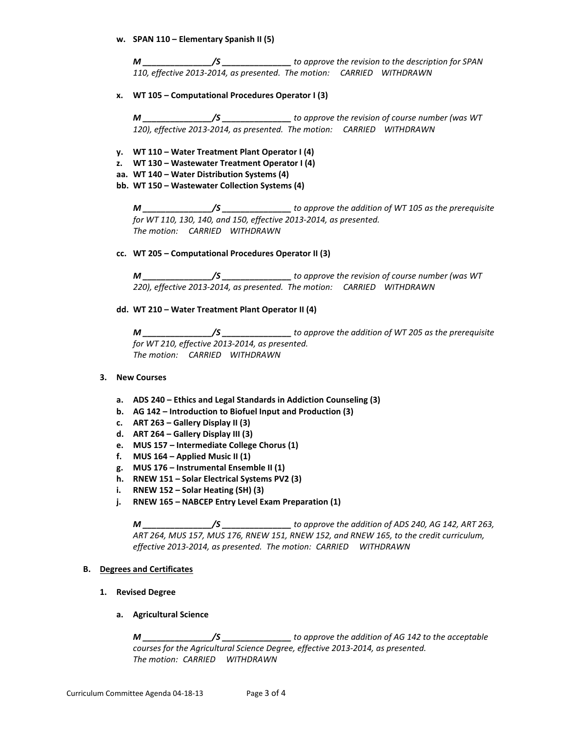**w. SPAN 110 – Elementary Spanish II (5)**

*M \_\_\_\_\_\_\_\_\_\_\_\_\_\_\_/S \_\_\_\_\_\_\_\_\_\_\_\_\_\_\_ to approve the revision to the description for SPAN 110, effective 2013-2014, as presented. The motion: CARRIED WITHDRAWN*

**x. WT 105 – Computational Procedures Operator I (3)**

*M \_\_\_\_\_\_\_\_\_\_\_\_\_\_\_/S \_\_\_\_\_\_\_\_\_\_\_\_\_\_\_ to approve the revision of course number (was WT 120), effective 2013-2014, as presented. The motion: CARRIED WITHDRAWN*

- **y. WT 110 – Water Treatment Plant Operator I (4)**
- **z. WT 130 – Wastewater Treatment Operator I (4)**
- **aa. WT 140 – Water Distribution Systems (4)**
- **bb. WT 150 – Wastewater Collection Systems (4)**

*M \_\_\_\_\_\_\_\_\_\_\_\_\_\_\_/S \_\_\_\_\_\_\_\_\_\_\_\_\_\_\_ to approve the addition of WT 105 as the prerequisite for WT 110, 130, 140, and 150, effective 2013-2014, as presented. The motion: CARRIED WITHDRAWN*

**cc. WT 205 – Computational Procedures Operator II (3)**

*M \_\_\_\_\_\_\_\_\_\_\_\_\_\_\_/S \_\_\_\_\_\_\_\_\_\_\_\_\_\_\_ to approve the revision of course number (was WT 220), effective 2013-2014, as presented. The motion: CARRIED WITHDRAWN*

**dd. WT 210 – Water Treatment Plant Operator II (4)**

*M \_\_\_\_\_\_\_\_\_\_\_\_\_\_\_/S \_\_\_\_\_\_\_\_\_\_\_\_\_\_\_ to approve the addition of WT 205 as the prerequisite for WT 210, effective 2013-2014, as presented. The motion: CARRIED WITHDRAWN*

- **3. New Courses**
	- **a. ADS 240 – Ethics and Legal Standards in Addiction Counseling (3)**
	- **b. AG 142 – Introduction to Biofuel Input and Production (3)**
	- **c. ART 263 – Gallery Display II (3)**
	- **d. ART 264 – Gallery Display III (3)**
	- **e. MUS 157 – Intermediate College Chorus (1)**
	- **f. MUS 164 – Applied Music II (1)**
	- **g. MUS 176 – Instrumental Ensemble II (1)**
	- **h. RNEW 151 – Solar Electrical Systems PV2 (3)**
	- **i. RNEW 152 – Solar Heating (SH) (3)**
	- **j. RNEW 165 – NABCEP Entry Level Exam Preparation (1)**

*M \_\_\_\_\_\_\_\_\_\_\_\_\_\_\_/S \_\_\_\_\_\_\_\_\_\_\_\_\_\_\_ to approve the addition of ADS 240, AG 142, ART 263, ART 264, MUS 157, MUS 176, RNEW 151, RNEW 152, and RNEW 165, to the credit curriculum, effective 2013-2014, as presented. The motion: CARRIED WITHDRAWN*

## **B. Degrees and Certificates**

- **1. Revised Degree**
	- **a. Agricultural Science**

*M \_\_\_\_\_\_\_\_\_\_\_\_\_\_\_/S \_\_\_\_\_\_\_\_\_\_\_\_\_\_\_ to approve the addition of AG 142 to the acceptable courses for the Agricultural Science Degree, effective 2013-2014, as presented. The motion: CARRIED WITHDRAWN*